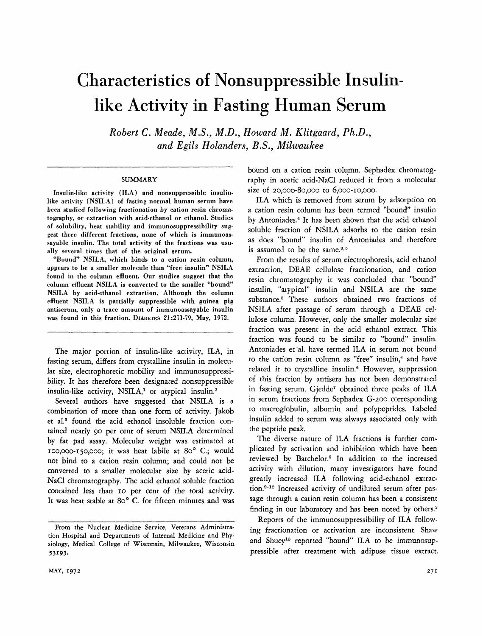# Characteristics of Nonsuppressible Insulinlike Activity in Fasting Human Serum

*Robert C. Meade, M.S., M.D., Howard M. Klitgaard, Ph.D., and Egils Holanders, B.S., Milwaukee*

#### SUMMARY

Insulin-like activity (ILA) and nonsuppressible insulinlike activity (NSILA) of fasting normal human serum have been studied following fractionation by cation resin chromatography, or extraction with acid-ethanol or ethanol. Studies of solubility, heat stability and immunosuppressibility suggest three different fractions, none of which is immunoassayable insulin. The total activity of the fractions was usually several times that of the original serum.

"Bound" NSILA, which binds to a cation resin column, appears to be a smaller molecule than "free insulin" NSILA found in the column effluent. Our studies suggest that the column effluent NSILA is converted to the smaller "bound" NSILA by acid-ethanol extraction. Although the column effluent NSILA is partially suppressible with guinea pig antiserum, only a trace amount of immunoassayable insulin was found in this fraction. DIABETES *21*:271-79, May, 1972.

The major portion of insulin-like activity, ILA, in fasting serum, differs from crystalline insulin in molecular size, electrophoretic mobility and immunosuppressibility. It has therefore been designated nonsuppressible insulin-like activity, NSILA,<sup>1</sup> or atypical insulin.<sup>2</sup>

Several authors have suggested that NSILA is a combination of more than one form of activity. Jakob et al.3 found the acid ethanol insoluble fraction contained nearly 90 per cent of serum NSILA determined by fat pad assay. Molecular weight was estimated at 100,000-150,000; it was heat labile at 8o° C; would not bind to a cation resin column; and could not be converted to a smaller molecular size by acetic acid-NaCl chromatography. The acid ethanol soluble fraction contained less than 10 per cent of the total activity. It was heat stable at 8o° C. for fifteen minutes and was

bound on a cation resin column. Sephadex chromatography in acetic acid-NaCl reduced it from a molecular size of 20,000-80,000 to 6,000-10,000. ILA which is removed from serum by adsorption on

a cation resin column has been termed "bound" insulin by Antoniades.<sup>4</sup> It has been shown that the acid ethanol soluble fraction of NSILA adsorbs to the cation resin as does "bound" insulin of Antoniades and therefore is assumed to be the same.<sup>3,5</sup>

From the results of serum electrophoresis, acid ethanol extraction, DEAE cellulose fractionation, and cation resin chromatography it was concluded that "bound" insulin, "atypical" insulin and NSILA are the same substance.<sup>5</sup> These authors obtained two fractions of NSILA after passage of serum through a DEAE cellulose column. However, only the smaller molecular size fraction was present in the acid ethanol extract. This fraction was found to be similar to "bound" insulin. Antoniades et al. have termed ILA in serum not bound to the cation resin column as "free" insulin,<sup>4</sup> and have related it to crystalline insulin.6 However, suppression of this fraction by antisera has not been demonstrated in fasting serum. Gjedde7 obtained three peaks of ILA in serum fractions from Sephadex G-200 corresponding to macroglobulin, albumin and polypeptides. Labeled insulin added to serum was always associated only with the peptide peak.

The diverse nature of ILA fractions is further complicated by activation and inhibition which have been reviewed by Batchelor.8 In addition to the increased activity with dilution, many investigators have found greatly increased ILA following acid-ethanol extraction.<sup>9-12</sup> Increased activity of undiluted serum after passage through a cation resin column has been a consistent finding in our laboratory and has been noted by others.<sup>3</sup>

Reports of the immunosuppressibility of ILA following fractionation or activation are inconsistent. Shaw and Shuey<sup>13</sup> reported "bound" ILA to be immunosuppressible after treatment with adipose tissue extract.

From the Nuclear Medicine Service, Veterans Administration Hospital and Departments of Internal Medicine and Physiology, Medical College of Wisconsin, Milwaukee, Wisconsin 53193.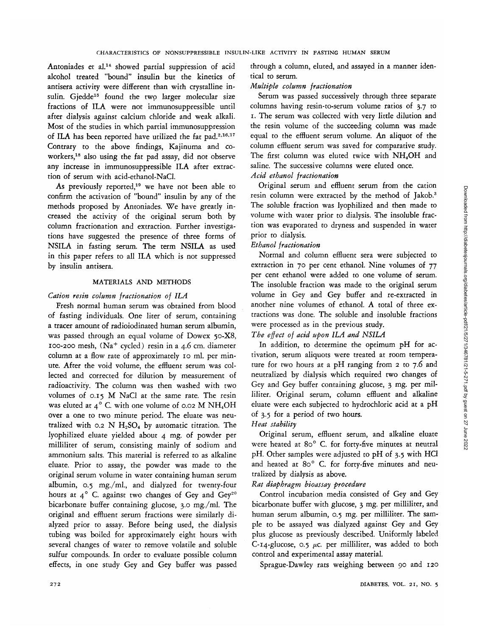Antoniades et al.<sup>14</sup> showed partial suppression of acid alcohol treated "bound" insulin but the kinetics of antisera activity were different than with crystalline insulin. Gjedde<sup>15</sup> found the two larger molecular size fractions of ILA were not immunosuppressible until after dialysis against calcium chloride and weak alkali. Most of the studies in which partial immunosuppression of ILA has been reported have utilized the fat pad.<sup>2,16,17</sup> Contrary to the above findings, Kajinuma and coworkers,18 also using the fat pad assay, did not observe any increase in immunosuppressible ILA after extraction of serum with acid-ethanol-NaCl.

As previously reported,<sup>19</sup> we have not been able to confirm the activation of "bound" insulin by any of the methods proposed by Antoniades. We have greatly increased the activity of the original serum both by column fractionation and extraction. Further investigations have suggested the presence of three forms of NSILA in fasting serum. The term NSILA as used in this paper refers to all ILA which is not suppressed by insulin antisera.

### MATERIALS AND METHODS

#### *Cation resin column fractionation of ILA*

Fresh normal human serum was obtained from blood of fasting individuals. One liter of serum, containing a tracer amount of radioiodinated human serum albumin, was passed through an equal volume of Dowex 50-X8, 100-200 mesh, (Na<sup>+</sup> cycled) resin in a 4.6 cm. diameter column at a flow rate of approximately 10 ml. per minute. After the void volume, the effluent serum was collected and corrected for dilution by measurement of radioactivity. The column was then washed with two volumes of 0.15 M NaCl at the same rate. The resin was eluted at 4 $^{\circ}$  C. with one volume of 0.02 M NH<sub>4</sub>OH over a one to two minute period. The eluate was neutralized with 0.2 N  $H_2SO_4$  by automatic titration. The lyophilized eluate yielded about 4 mg. of powder per milliliter of serum, consisting mainly of sodium and ammonium salts. This material is referred to as alkaline eluate. Prior to assay, the powder was made to the original serum volume in water containing human serum albumin, 0.5 mg./ml., and dialyzed for twenty-four hours at  $4^{\circ}$  C. against two changes of Gey and Gey<sup>20</sup> bicarbonate buffer containing glucose, 3.0 mg./ml. The original and effluent serum fractions were similarly dialyzed prior to assay. Before being used, the dialysis tubing was boiled for approximately eight hours with several changes of water to remove volatile and soluble sulfur compounds. In order to evaluate possible column effects, in one study Gey and Gey buffer was passed through a column, eluted, and assayed in a manner identical to serum.

### *Multiple column fractionation*

Serum was passed successively through three separate columns having resin-to-serum volume ratios of 3.7 to 1. The serum was collected with very little dilution and the resin volume of the succeeding column was made equal to the effluent serum volume. An aliquot of the column effluent serum was saved for comparative study. The first column was eluted twice with NH<sub>4</sub>OH and saline. The successive columns were eluted once.

# *Acid ethanol fractionation*

Original serum and effluent serum from the cation resin column were extracted by the method of Jakob.<sup>3</sup> The soluble fraction was lyophilized and then made to volume with water prior to dialysis. The insoluble fraction was evaporated to dryness and suspended in water prior to dialysis.

## *Ethanol fractionation*

Normal and column effluent sera were subjected to extraction in 70 per cent ethanol. Nine volumes of 77 per cent ethanol were added to one volume of serum. The insoluble fraction was made to the original serum volume in Gey and Gey buffer and re-extracted in another nine volumes of ethanol. A total of three extractions was done. The soluble and insoluble fractions were processed as in the previous study.

## *The effect of acid upon ILA and NSILA*

In addition, to determine the optimum pH for activation, serum aliquots were treated at room temperature for two hours at a pH ranging from 2 to 7.6 and neutralized by dialysis which required two changes of Gey and Gey buffer containing glucose, 3 mg. per milliliter. Original serum, column effluent and alkaline eluate were each subjected to hydrochloric acid at a pH of 3.5 for a period of two hours.

## *Heat stability*

Original serum, effluent serum, and alkaline eluate were heated at 80° C. for forty-five minutes at neutral pH. Other samples were adjusted to pH of 3.5 with HC1 and heated at 80° C. for forty-five minutes and neutralized by dialysis as above.

## *Rat diaphragm bioassay procedure*

Control incubation media consisted of Gey and Gey bicarbonate buffer with glucose, 3 mg. per milliliter, and human serum albumin, 0.5 mg. per milliliter. The sample to be assayed was dialyzed against Gey and Gey plus glucose as previously described. Uniformly labeled C-14-glucose,  $0.5$   $\mu$ c. per milliliter, was added to both control and experimental assay material.

Sprague-Dawley rats weighing between 90 and 120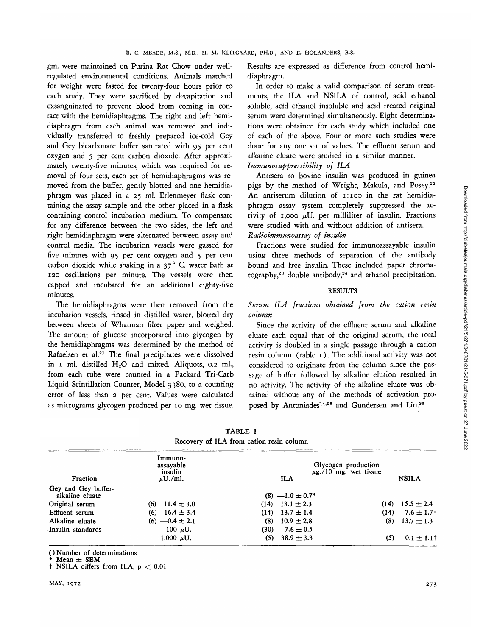gm. were maintained on Purina Rat Chow under wellregulated environmental conditions. Animals matched for weight were fasted for twenty-four hours prior to each study. They were sacrificed by decapitation and exsanguinated to prevent blood from coming in contact with the hemidiaphragms. The right and left hemidiaphragm from each animal was removed and individually transferred to freshly prepared ice-cold Gey and Gey bicarbonate buffer saturated with 95 per cent oxygen and 5 per cent carbon dioxide. After approximately twenty-five minutes, which was required for removal of four sets, each set of hemidiaphragms was removed from the buffer, gently blotted and one hemidiaphragm was placed in a 25 ml. Erlenmeyer flask containing the assay sample and the other placed in a flask containing control incubation medium. To compensate for any difference between the two sides, the left and right hemidiaphragm were alternated between assay and control media. The incubation vessels were gassed for five minutes with 95 per cent oxygen and 5 per cent carbon dioxide while shaking in a  $37^\circ$  C. water bath at 120 oscillations per minute. The vessels were then capped and incubated for an additional eighty-five minutes.

The hemidiaphragms were then removed from the incubation vessels, rinsed in distilled water, blotted dry between sheets of Whatman filter paper and weighed. The amount of glucose incorporated into glycogen by the hemidiaphragms was determined by the method of Rafaelsen et al.<sup>21</sup> The final precipitates were dissolved in  $I$  ml. distilled  $H<sub>2</sub>O$  and mixed. Aliquots, 0.2 ml., from each tube were counted in a Packard Tri-Carb Liquid Scintillation Counter, Model 3380, to a counting error of less than 2 per cent. Values were calculated as micrograms glycogen produced per 10 mg. wet tissue.

Results are expressed as difference from control hemidiaphragm.

In order to make a valid comparison of serum treatments, the ILA and NSILA of control, acid ethanol soluble, acid ethanol insoluble and acid treated original serum were determined simultaneously. Eight determinations were obtained for each study which included one of each of the above. Four or more such studies were done for any one set of values. The effluent serum and alkaline eluate were studied in a similar manner. *Immunosuppressibility of ILA*

Antisera to bovine insulin was produced in guinea pigs by the method of Wright, Makula, and Posey.<sup>22</sup> An antiserum dilution of 1:100 in the rat hemidiaphragm assay system completely suppressed the activity of 1,000  $\mu$ U. per milliliter of insulin. Fractions were studied with and without addition of antisera. *Radioimmunoassay of insulin*

Fractions were studied for immunoassayable insulin using three methods of separation of the antibody bound and free insulin. These included paper chromatography,<sup>23</sup> double antibody,<sup>24</sup> and ethanol precipitation.

#### RESULTS

## *Serum ILA fractions obtained from the cation resin column*

Since the activity of the effluent serum and alkaline eluate each equal that of the original serum, the total activity is doubled in a single passage through a cation resin column (table 1). The additional activity was not considered to originate from the column since the passage of buffer followed by alkaline elution resulted in no activity. The activity of the alkaline eluate was obtained without any of the methods of activation proposed by Antoniades<sup>14,25</sup> and Gundersen and Lin.<sup>26</sup>

TABLE 1 Recovery of ILA from cation resin column

| Fraction                               | Immuno-<br>assayable<br>insulin<br>$\mu$ U./ml. |      |                       | Glycogen production<br>$\mu$ g./10 mg. wet tissue<br><b>ILA</b> |                         |
|----------------------------------------|-------------------------------------------------|------|-----------------------|-----------------------------------------------------------------|-------------------------|
| Gey and Gey buffer-<br>alkaline eluate |                                                 |      | $(8)$ -1.0 $\pm$ 0.7* |                                                                 |                         |
| Original serum                         | $11.4 \pm 3.0$<br>(6)                           |      | $(14)$ 13.1 $\pm$ 2.3 | (14)                                                            | $15.5 \pm 2.4$          |
| Effluent serum                         | $16.4 \pm 3.4$<br>(6)                           | (14) | $13.7 \pm 1.4$        | (14)                                                            | $7.6 \pm 1.7^{\dagger}$ |
| Alkaline eluate                        | $(6)$ -0.4 $\pm$ 2.1                            | (8)  | $10.9 \pm 2.8$        | (8)                                                             | $13.7 \pm 1.3$          |
| Insulin standards                      | 100 $\mu$ U.                                    | (30) | $7.6 \pm 0.5$         |                                                                 |                         |
|                                        | 1,000 $\mu$ U.                                  | (5)  | $38.9 \pm 3.3$        | (5)                                                             | $0.1 \pm 1.1^{\dagger}$ |

() Number of determinations  $*$  Mean  $\pm$  SEM

 $\dagger$  NSILA differs from ILA,  $p < 0.01$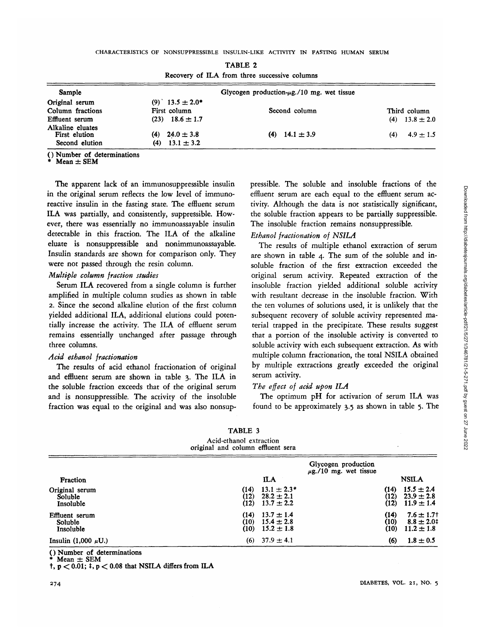| Sample                            |                       | Glycogen production- $\mu$ g./10 mg. wet tissue |                    |
|-----------------------------------|-----------------------|-------------------------------------------------|--------------------|
| Original serum                    | $(9)$ 13.5 $\pm$ 2.0* |                                                 |                    |
| Column fractions                  | First column          | Second column                                   | Third column       |
| Effluent serum                    | $(23)$ 18.6 $\pm$ 1.7 |                                                 | (4) $13.8 \pm 2.0$ |
| Alkaline eluates<br>First elution | $24.0 \pm 3.8$<br>(4) | (4) $14.1 \pm 3.9$                              | (4) $4.9 \pm 1.5$  |
| Second elution                    | $(4)$ 13.1 $\pm$ 3.2  |                                                 |                    |

| TABLE 2 |  |  |  |  |                                               |  |
|---------|--|--|--|--|-----------------------------------------------|--|
|         |  |  |  |  | Recovery of ILA from three successive columns |  |

() Number of determinations  $*$  Mean  $\pm$  SEM

The apparent lack of an immunosuppressible insulin in the original serum reflects the low level of immunoreactive insulin in the fasting state. The effluent serum ILA was partially, and consistently, suppressible. However, there was essentially no immunoassayable insulin detectable in this fraction. The ILA of the alkaline eluate is nonsuppressible and nonimmunoassayable. Insulin standards are shown for comparison only. They were not passed through the resin column.

## *Multiple column fraction studies*

Serum ILA recovered from a single column is further amplified in multiple column studies as shown in table 2. Since the second alkaline elution of the first column yielded additional ILA, additional elutions could potentially increase the activity. The ILA of effluent serum remains essentially unchanged after passage through three columns.

#### *Acid ethanol fractionation*

The results of acid ethanol fractionation of original and effluent serum are shown in table 3. The ILA in the soluble fraction exceeds that of the original serum and is nonsuppressible. The activity of the insoluble fraction was equal to the original and was also nonsuppressible. The soluble and insoluble fractions of the effluent serum are each equal to the effluent serum activity. Although the data is not statistically significant, the soluble fraction appears to be partially suppressible. The insoluble fraction remains nonsuppressible.

## *Ethanol fractionation of NSILA*

The results of multiple ethanol extraction of serum are shown in table 4. The sum of the soluble and insoluble fraction of the first extraction exceeded the original serum activity. Repeated extraction of the insoluble fraction yielded additional soluble activity with resultant decrease in the insoluble fraction. With the ten volumes of solutions used, it is unlikely that the subsequent recovery of soluble activity represented material trapped in the precipitate. These results suggest that a portion of the insoluble activity is converted to soluble activity with each subsequent extraction. As with multiple column fractionation, the total NSILA obtained by multiple extractions greatly exceeded the original serum activity.

## *The effect of acid upon ILA*

The optimum pH for activation of serum ILA was found to be approximately 3.5 as shown in table 5. The

|                                        | IABLE 3<br>Acid-ethanol extraction<br>original and column effluent sera     |                                                                             |
|----------------------------------------|-----------------------------------------------------------------------------|-----------------------------------------------------------------------------|
|                                        |                                                                             | Glycogen production<br>$\mu$ g./10 mg. wet tissue                           |
| <b>Fraction</b>                        | ILA                                                                         | <b>NSILA</b>                                                                |
| Original serum<br>Soluble<br>Insoluble | $13.1 \pm 2.3*$<br>(14)<br>(12)<br>$28.2 \pm 2.1$<br>(12)<br>$13.7 \pm 2.2$ | $15.5 \pm 2.4$<br>(14)<br>$23.9 \pm 2.8$<br>(12)<br>$11.9 \pm 1.4$<br>(12)  |
| Effluent serum<br>Soluble<br>Insoluble | $13.7 \pm 1.4$<br>(14)<br>$15.4 \pm 2.8$<br>(10)<br>$15.2 \pm 1.8$<br>(10)  | (14)<br>$7.6 \pm 1.7$ †<br>(10)<br>$8.8 \pm 2.01$<br>(10)<br>$11.2 \pm 1.8$ |
| Insulin $(1,000 \mu U)$                | $37.9 \pm 4.1$<br>(6)                                                       | (6)<br>$1.8 \pm 0.5$                                                        |

 $TATT<sub>3</sub>$ 

() Number of determinations  $*$  Mean  $\pm$  SEM

t, p < 0.01; *t,* p < 0.08 that NSILA differs from ILA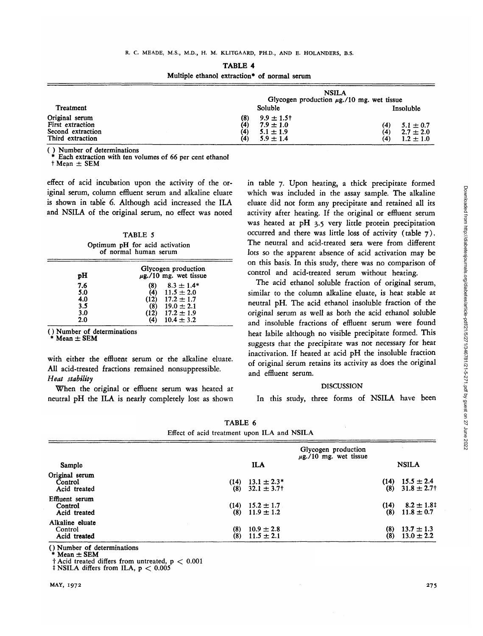| TABLE 4                                                  |                                         |
|----------------------------------------------------------|-----------------------------------------|
| Multiple ethanol extraction <sup>*</sup> of normal serum |                                         |
|                                                          | <b>NSILA</b>                            |
|                                                          | Glycogen production $\mu$ g./10 mg. wet |

|                                                                             | Glycogen production $\mu$ g./10 mg. wet tissue                                                 |                                                                      |  |  |
|-----------------------------------------------------------------------------|------------------------------------------------------------------------------------------------|----------------------------------------------------------------------|--|--|
| Treatment                                                                   | Soluble                                                                                        | Insoluble                                                            |  |  |
| Original serum<br>First extraction<br>Second extraction<br>Third extraction | $9.9 \pm 1.5$ †<br>(8)<br>(4)<br>$7.9 \pm 1.0$<br>(4)<br>$5.1 \pm 1.9$<br>(4)<br>$5.9 \pm 1.4$ | (4)<br>$5.1 \pm 0.7$<br>$2.7 \pm 2.0$<br>(4)<br>(4)<br>$1.2 \pm 1.0$ |  |  |

( ) Number of determinations \* Each extraction with ten volumes of 66 per cent ethanol

t Mean ± SEM

effect of acid incubation upon the activity of the original serum, column effluent serum and alkaline eluate is shown in table 6. Although acid increased the ILA and NSILA of the original serum, no effect was noted

TABLE 5 Optimum pH for acid activation of normal human serum

| рH                | Glycogen production<br>$\mu$ g./10 mg. wet tissue                       |
|-------------------|-------------------------------------------------------------------------|
| 7.6<br>5.0<br>4.0 | $8.3 \pm 1.4*$<br>(8)<br>(4) $11.5 \pm 2.0$<br>$(12)$ 17.2 $\pm$ 1.7    |
| 3.5<br>3.0<br>2.0 | (8)<br>$19.0 \pm 2.1$<br>$(12)$ $17.2 \pm 1.9$<br>$10.4 \pm 3.2$<br>(4) |

() Number of determinations \* Mean ± SEM

with either the effluent serum or the alkaline eluate. All acid-treated fractions remained nonsuppressible. *Heat stability*

When the original or effluent serum was heated at neutral pH the ILA is nearly completely lost as shown

in table 7. Upon heating, a thick precipitate formed which was included in the assay sample. The alkaline eluate did not form any precipitate and retained all its activity after heating. If the original or effluent serum was heated at pH 3.5 very little protein precipitation occurred and there was little loss of activity (table 7). The neutral and acid-treated sera were from different lots so the apparent absence of acid activation may be on this basis. In this study, there was no comparison of control and acid-treated serum without heating.

The acid ethanol soluble fraction of original serum, similar to the column alkaline eluate, is heat stable at neutral pH. The acid ethanol insoluble fraction of the original serum as well as both the acid ethanol soluble and insoluble fractions of effluent serum were found heat labile although no visible precipitate formed. This suggests that the precipitate was not necessary for heat inactivation. If heated at acid pH the insoluble fraction of original serum retains its activity as does the original and effluent serum.

#### DISCUSSION

In this study, three forms of NSILA have been

| TABLE 6<br>Effect of acid treatment upon ILA and NSILA |             |                                                |                                                   |             |                                    |
|--------------------------------------------------------|-------------|------------------------------------------------|---------------------------------------------------|-------------|------------------------------------|
| Sample                                                 |             | ILA                                            | Glycogen production<br>$\mu$ g./10 mg. wet tissue |             | <b>NSILA</b>                       |
| Original serum<br>Control<br>Acid treated              | (14)<br>(8) | $13.1 \pm 2.3*$<br>$32.1 \pm 3.7$ <sup>†</sup> |                                                   | (14)<br>(8) | $15.5 \pm 2.4$<br>$31.8 \pm 2.7$ † |
| Effluent serum<br>Control<br>Acid treated              | (14)<br>(8) | $15.2 \pm 1.7$<br>$11.9 \pm 1.2$               |                                                   | (14)<br>(8) | $8.2 \pm 1.8$<br>$11.8 \pm 0.7$    |
| Alkaline eluate<br>Control<br>Acid treated             | (8)<br>(8)  | $10.9 \pm 2.8$<br>$11.5 \pm 2.1$               |                                                   | (8)<br>(8)  | $13.7 \pm 1.3$<br>$13.0 \pm 2.2$   |

() Number of determinations<br> $*$  Mean  $\pm$  SEM

 $\dagger$  Acid treated differs from untreated,  $p < 0.001$ 

 $\ddagger$  NSILA differs from ILA,  $p < 0.005$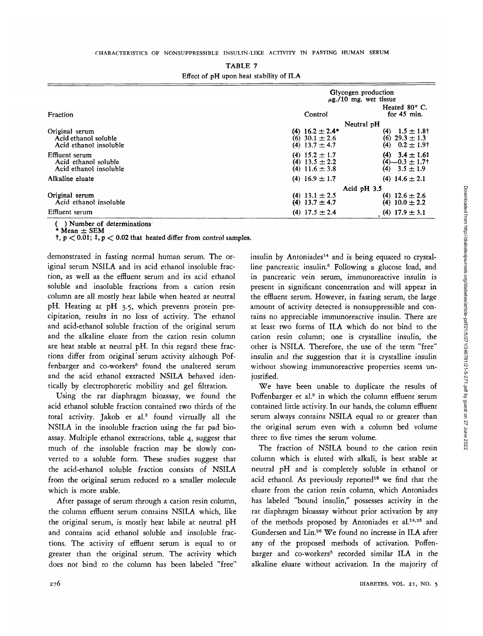| Effect of pH upon heat stability of ILA                          |                                                                     |                                                                       |  |
|------------------------------------------------------------------|---------------------------------------------------------------------|-----------------------------------------------------------------------|--|
|                                                                  |                                                                     | Glycogen production<br>$\mu$ g./10 mg. wet tissue                     |  |
| Fraction                                                         | Control                                                             | Heated $80^{\circ}$ C.<br>for $45$ min.                               |  |
|                                                                  | Neutral pH                                                          |                                                                       |  |
| Original serum<br>Acid ethanol soluble<br>Acid ethanol insoluble | (4) $16.2 \pm 2.4*$<br>$(6)$ 30.1 $\pm$ 2.6<br>$(4)$ 13.7 $\pm$ 4.7 | $1.5 \pm 1.81$<br>(4)<br>(6) $29.3 \pm 1.3$<br>(4) $0.2 \pm 1.91$     |  |
| Effluent serum<br>Acid ethanol soluble<br>Acid ethanol insoluble | (4) $15.2 \pm 1.7$<br>(4) $13.5 \pm 2.2$<br>$(4)$ 11.6 $\pm$ 3.8    | $3.4 \pm 1.6$<br>(4)<br>$(4)$ - 0.3 $\pm$ 1.71<br>$(4)$ 3.5 $\pm$ 1.9 |  |
| Alkaline eluate                                                  | $(4)$ 16.9 $\pm$ 1.7                                                | (4) $14.6 \pm 2.1$                                                    |  |

| TABLE 7                                 |  |  |
|-----------------------------------------|--|--|
| Effect of pH upon heat stability of ILA |  |  |

Original serum Acid ethanol insoluble

Effluent serum

( $)$  Number of determinations \* Mean  $\pm$  SEM

 $t, p < 0.01$ ;  $t, p < 0.02$  that heated differ from control samples.

demonstrated in fasting normal human serum. The original serum NSILA and its acid ethanol insoluble fraction, as well as the effluent serum and its acid ethanol soluble and insoluble fractions from a cation resin column are all mostly heat labile when heated at neutral pH. Heating at pH 3.5, which prevents protein precipitation, results in no loss of activity. The ethanol and acid-ethanol soluble fraction of the original serum and the alkaline eluate from the cation resin column are heat stable at neutral pH. In this regard these fractions differ from original' serum activity although Poffenbarger and co-workers<sup>5</sup> found the unaltered serum and the acid ethanol extracted NSILA behaved identically by electrophoretic mobility and gel filtration.

Using the rat diaphragm bioassay, we found the acid ethanol soluble fraction contained two thirds of the total activity. Jakob et al.3 found virtually all the NSILA in the insoluble fraction using the fat pad bioassay. Multiple ethanol extractions, table 4, suggest that much of the insoluble fraction may be slowly converted to a soluble form. These studies suggest that the acid-ethanol soluble fraction consists of NSILA from the original serum reduced to a smaller molecule which is more stable.

After passage of serum through a cation resin column, the column effluent serum contains NSILA which, like the original serum, is mostly heat labile at neutral pH and contains acid ethanol soluble and insoluble fractions. The activity of effluent serum is equal to or greater than the original serum. The activity which does not bind to the column has been labeled "free"

insulin by Antoniades<sup>14</sup> and is being equated to crystalline pancreatic insulin.<sup>6</sup> Following a glucose load, and in pancreatic vein serum, immunoreactive insulin is present in significant concentration and will appear in the effluent serum. However, in fasting serum, the large amount of activity detected is nonsuppressible and contains no appreciable immunoreactive insulin. There are at least two forms of ILA which do not bind to the cation resin column; one is crystalline insulin, the other is NSILA. Therefore, the use of the term "free" insulin and the suggestion that it is crystalline insulin without showing immunoreactive properties seems unjustified.

Acid pH 3.5

(4)  $17.5 \pm 2.4$  (4)  $17.9 \pm 3.1$ 

**(4)** 13.1 ± 2.5 **(4)** 13.7 ±4.7

We have been unable to duplicate the results of Poffenbarger et al.<sup>5</sup> in which the column effluent serum contained little activity. In our hands, the column effluent serum always contains NSILA equal to or greater than the original serum even with a column bed volume three to five times the serum volume.

The fraction of NSILA bound to the cation resin column which is eluted with alkali, is heat stable at neutral pH and is completely soluble in ethanol or acid ethanol. As previously reported<sup>19</sup> we find that the eluate from the cation resin column, which Antoniades has labeled "bound insulin," possesses activity in the rat diaphragm bioassay without prior activation by any of the methods proposed by Antoniades et al.<sup>14,25</sup> and Gundersen and Lin.<sup>26</sup> We found no increase in ILA after any of the proposed methods of activation. Poffenbarger and co-workers<sup>5</sup> recorded similar ILA in the alkaline eluate without activation. In the majority of

 $±1.8$ t  $\pm$  1.3  $± 1.9<sup>†</sup>$  $\pm 1.6^{\ddagger}_{\pm}$ <br> $\pm 1.7^{\dagger}$  $±1.9$ 

**'(4)** 12.6 ± 2.6 **(4)** 10.0 ± 2.2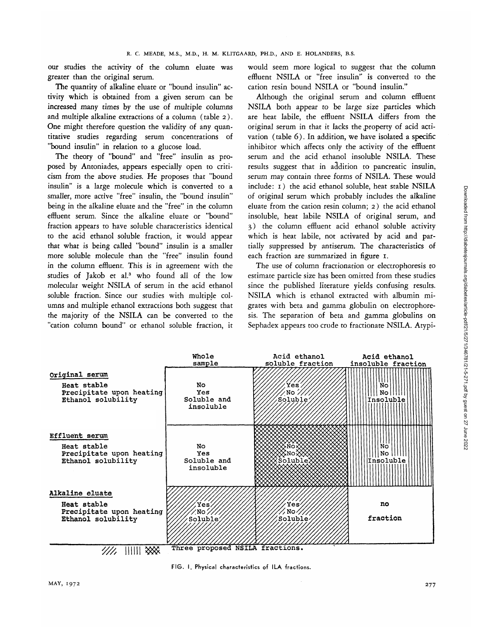our studies the activity of the column eluate was greater than the original serum.

The quantity of alkaline eluate or "bound insulin" activity which is obtained from a given serum can be increased many times by the use of multiple columns and multiple alkaline extractions of a column (table 2). One might therefore question the validity of any quantitative studies regarding serum concentrations of "bound insulin" in relation to a glucose load.

The theory of "bound" and "free" insulin as proposed by Antoniades, appears especially open to criticism from the above studies. He proposes that "bound insulin" is a large molecule which is converted to a smaller, more active "free" insulin, the "bound insulin" being in the alkaline eluate and the "free" in the column effluent serum. Since the alkaline eluate or "bound" fraction appears to have soluble characteristics identical to the acid ethanol soluble fraction, it would appear that what is being called "bound" insulin is a smaller more soluble molecule than the "free" insulin found in the column effluent. This is in agreement with the studies of Jakob et al.<sup>3</sup> who found all of the low molecular weight NSILA of serum in the acid ethanol soluble fraction. Since our studies with multiple columns and multiple ethanol extractions both suggest that the majority of the NSILA can be converted to the "cation column bound" or ethanol soluble fraction, it would seem more logical to suggest that the column effluent NSILA or "free insulin" is converted to the cation resin bound NSILA or "bound insulin."

Although the original serum and column effluent NSILA both appear to be large size particles which are heat labile, the effluent NSILA differs from the original serum in that it lacks the property of acid activation (table 6). In addition, we have isolated a specific inhibitor which affects only the activity of the effluent serum and the acid ethanol insoluble NSILA. These results suggest that in addition to pancreatic insulin, serum may contain three forms of NSILA. These would include: 1) the acid ethanol soluble, heat stable NSILA of original serum which probably includes the alkaline eluate from the cation resin column; 2) the acid ethanol insoluble, heat labile NSILA of original serum, and 3) the column effluent acid ethanol soluble activity which is heat labile, not activated by acid and partially suppressed by antiserum. The characteristics of each fraction are summarized in figure 1.

The use of column fractionation or electrophoresis to estimate particle size has been omitted from these studies since the published literature yields confusing results. NSILA which is ethanol extracted with albumin migrates with beta and gamma globulin on electrophoresis. The separation of beta and gamma globulins on Sephadex appears too crude to fractionate NSILA. Atypi-



FIG. I. Physical characteristics of ILA fractions.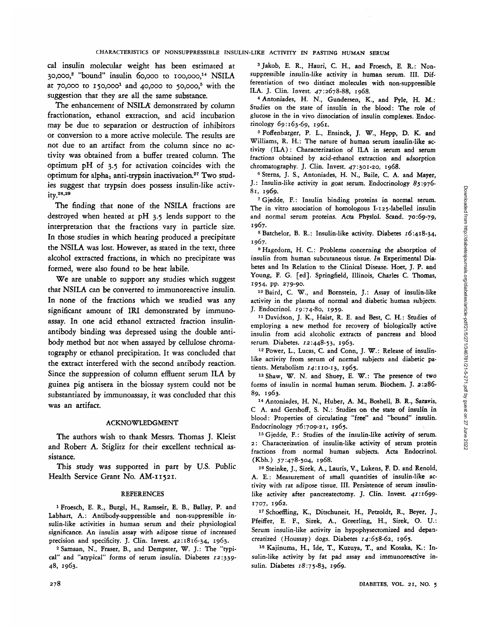cal insulin molecular weight has been estimated at 3o,ooo,2 "bound" insulin 60,000 to ioo,ooo,<sup>14</sup> NSILA at 70,000 to 150,000<sup>1</sup> and 40,000 to 50,000,<sup>5</sup> with the suggestion that they are all the same substance.

The enhancement of NSILA demonstrated by column fractionation, ethanol extraction, and acid incubation may be due to separation or destruction of inhibitors or conversion to a more active molecule. The results are not due to an artifact from the column since no activity was obtained from a buffer treated column. The optimum pH of 3.5 for activation coincides with the optimum for alpha<sub>1</sub> anti-trypsin inactivation.<sup>27</sup> Two studies suggest that trypsin does possess insulin-like activity.<sup>28,29</sup>

The finding that none of the NSILA fractions are destroyed when heated at pH 3.5 lends support to the interpretation that the fractions vary in particle size. In those studies in which heating produced a precipitate the NSILA was lost. However, as stated in the *text,* three alcohol extracted fractions, in which no precipitate was formed, were also found to be heat labile.

We are unable to support any studies which suggest that NSILA can be converted to immunoreactive insulin. In none of the fractions which we studied was any significant amount of IRI demonstrated by immunoassay. In one acid ethanol extracted fraction insulinantibody binding was depressed using the double antibody method but not when assayed by cellulose chromatography or ethanol precipitation. It was concluded that the extract interfered with the second antibody reaction. Since the suppression of column effluent serum ILA by guinea pig antisera in the biossay system could not be substantiated by immunoassay, it was concluded that this was an artifact.

#### ACKNOWLEDGMENT

The authors wish to thank Messrs. Thomas J. Kleist and Robert A. Stiglitz for their excellent technical assistance.

This study was supported in part by U.S. Public Health Service Grant No. AM-11521.

#### REFERENCES

<sup>1</sup> Froesch, E. R., Burgi, H., Ramseir, E. B., Ballay, P. and Labhart, A.: Antibody-suppressible and non-suppressible insulin-like activities in human serum and their physiological significance. An insulin assay with adipose tissue of increased precision and specificity. J. Clin. Invest. 42:1816-34, 1963.

<sup>2</sup> Samaan, N., Fraser, B., and Dempster, W. J.: The "typical" and "atypical" forms of serum insulin. Diabetes 12:339-48, 1963.

3 Jakob, E. R., Hauri, C. H., and Froesch, E. R.: Nonsuppressible insulin-like activity in human serum. III. Differentiation of two distinct molecules with non-suppressible ILA. J. Clin. Invest. 47:2678-88, 1968.

 Antoniades, H. N., Gundersen, K., and Pyle, H. M.: Studies on the state of insulin in the blood: The role of glucose in the in vivo dissociation of insulin complexes. Endocrinology 69:163-69, 1961. <sup>5</sup>

<sup>5</sup> Poffenbarger, P. L., Ensinck, J. W., Hepp, D. K. and Williams, R. H.: The nature of human serum insulin-like activity (ILA): Characterization of ILA in serum and serum fractions obtained by acid-ethanol extraction and adsorption chromatography. J. Clin. Invest. 47:301-20, 1968.

<sup>6</sup> Sterns, J. S., Antoniades, H. N., Baile, C. A. and Mayer, J.: Insulin-like activity in goat serum. Endocrinology *85:976-* 81, 1969. <sup>7</sup>

 Gjedde, F.: Insulin binding proteins in normal serum. The in vitro association of homologous I-125-labelled insulin and normal serum proteins. Acta Physiol. Scand. 70:69-79, 1967.

8 Batchelor, B. R.: Insulin-like activity. Diabetes 16:418-34, 1967.

<sup>9</sup> Hagedorn, H. C.: Problems concerning the absorption of insulin from human subcutaneous tissue. *In* Experimental Diabetes and Its Relation to the Clinical Disease. Hoet, J. P. and Young, F. G. [ed]. Springfield, Illinois, Charles C. Thomas, 1954, pp. 279-90.

 Baird, C. W., and Bornstein, J.: Assay of insulin-like activity in the plasma of normal and diabetic human subjects. J. Endocrinol. 19:74-80, 1959.

 Davidson, J. K., Haist, R. E. and Best, C. H.: Studies of employing a new method for recovery of biologically active insulin from acid alcoholic extracts of pancreas and blood serum. Diabetes. 12:448-53, 1963.

12 Power, L., Lucas, C. and Conn, J. W.: Release of insulinlike activity from serum of normal subjects and diabetic patients. Metabolism 14:110-13, 1965.

13 Shaw, W. N. and Shuey, E. W.: The presence of two forms of insulin in normal human serum. Biochem. J. 2:286-89, 1963.

 Antoniades, H. N., Huber, A. M., Boshell, B. R., Saravis, C A. and Gershoff, S. N.: Studies on the state of insulin in blood: Properties of circulating "free" and "bound" insulin. Endocrinology 76:709-21, 1965.

<sup>15</sup> Gjedde, F.: Studies of the insulin-like activity of serum. 2: Characterization of insulin-like activity of serum protein fractions from normal human subjects. Acta Endocrinol. (Kbh.) 57:478-504, 1968.

16 Steinke, J., Sirek, A., Lauris, V., Lukens, F. D. and Renold, A. E.: Measurement of small quantities of insulin-like activity with rat adipose tissue. III. Persistence of serum insulinlike activity after pancreatectomy. J. Clin. Invest. *41:1699-* 1707, 1962.

17 Schoeffling, K., Ditschuneit, H., Petzoldt, R., Beyer, J., Pfeiffer, E. F., Sirek, A., Greerling, H., Sirek, O. U.: Serum insulin-like activity in hypophysectomized and depancreatized (Houssay) dogs. Diabetes 74:658-62, 1965.

18 Kajinuma, H., Ide, T., Kuzuya, T., and Kosaka, K.: Insulin-like activity by fat pad assay and immunoreactive insulin. Diabetes 18:75-83, 1969.